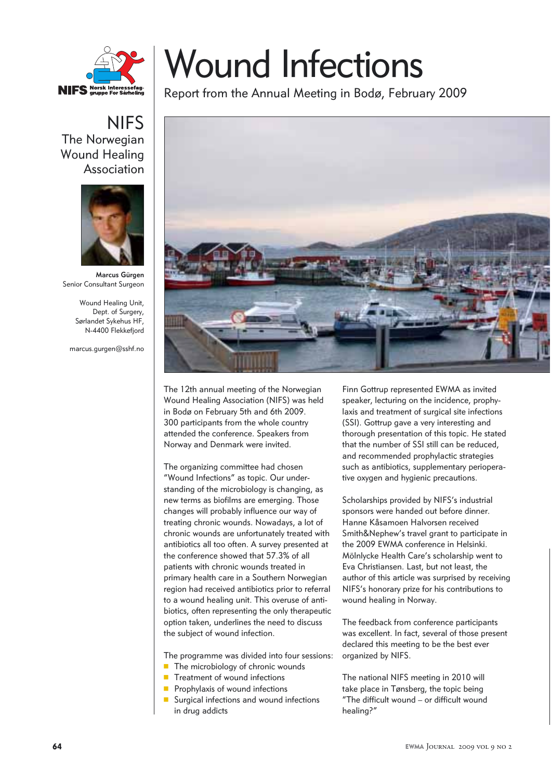

## **NIFS** The Norwegian Wound Healing Association



**Marcus Gürgen** Senior Consultant Surgeon

> Wound Healing Unit, Dept. of Surgery, Sørlandet Sykehus HF, N-4400 Flekkefjord

marcus.gurgen@sshf.no

## Wound Infections

Report from the Annual Meeting in Bodø, February 2009



The 12th annual meeting of the Norwegian Wound Healing Association (NIFS) was held in Bodø on February 5th and 6th 2009. 300 participants from the whole country attended the conference. Speakers from Norway and Denmark were invited.

The organizing committee had chosen "Wound Infections" as topic. Our understanding of the microbiology is changing, as new terms as biofilms are emerging. Those changes will probably influence our way of treating chronic wounds. Nowadays, a lot of chronic wounds are unfortunately treated with antibiotics all too often. A survey presented at the conference showed that 57.3% of all patients with chronic wounds treated in primary health care in a Southern Norwegian region had received antibiotics prior to referral to a wound healing unit. This overuse of antibiotics, often representing the only therapeutic option taken, underlines the need to discuss the subject of wound infection.

The programme was divided into four sessions:

- **The microbiology of chronic wounds**
- **T** Treatment of wound infections
- **Perophylaxis of wound infections**
- **Surgical infections and wound infections** in drug addicts

Finn Gottrup represented EWMA as invited speaker, lecturing on the incidence, prophylaxis and treatment of surgical site infections (SSI). Gottrup gave a very interesting and thorough presentation of this topic. He stated that the number of SSI still can be reduced, and recommended prophylactic strategies such as antibiotics, supplementary perioperative oxygen and hygienic precautions.

Scholarships provided by NIFS's industrial sponsors were handed out before dinner. Hanne Kåsamoen Halvorsen received Smith&Nephew's travel grant to participate in the 2009 EWMA conference in Helsinki. Mölnlycke Health Care's scholarship went to Eva Christiansen. Last, but not least, the author of this article was surprised by receiving NIFS's honorary prize for his contributions to wound healing in Norway.

The feedback from conference participants was excellent. In fact, several of those present declared this meeting to be the best ever organized by NIFS.

The national NIFS meeting in 2010 will take place in Tønsberg, the topic being "The difficult wound – or difficult wound healing?"